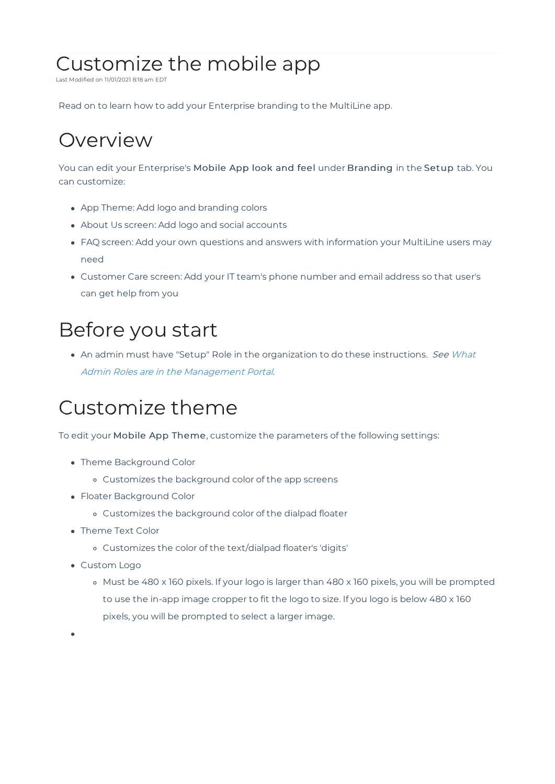# Customize the mobile app

Last Modified on 11/01/2021 8:18 am EDT

Read on to learn how to add your Enterprise branding to the MultiLine app.

# **Overview**

You can edit your Enterprise's Mobile App look and feel under Branding in the Setup tab. You can customize:

- App Theme: Add logo and branding colors
- About Us screen: Add logo and social accounts
- FAQ screen: Add your own questions and answers with information your MultiLine users may need
- Customer Care screen: Add your IT team's phone number and email address so that user's can get help from you

# Before you start

• An admin must have "Setup" Role in the organization to do these instructions. See What Admin Roles are in the Management Portal.

## Customize theme

To edit your Mobile App Theme, customize the parameters of the following settings:

- Theme Background Color
	- Customizes the background color of the app screens
- Floater Background Color
	- Customizes the background color of the dialpad floater
- Theme Text Color
	- Customizes the color of the text/dialpad floater's 'digits'
- Custom Logo
	- o Must be 480 x 160 pixels. If your logo is larger than 480 x 160 pixels, you will be prompted to use the in-app image cropper to fit the logo to size. If you logo is below 480 x 160 pixels, you will be prompted to select a larger image.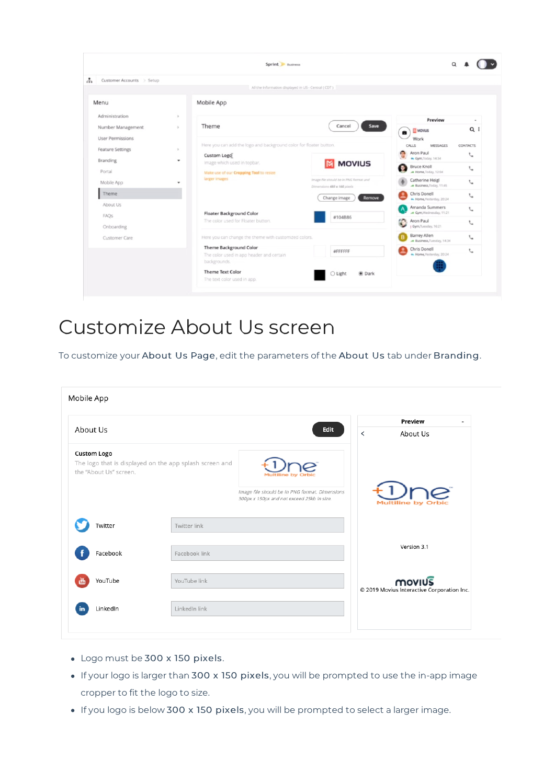|                                                    |                             | Sprint Business                                                           |                                                                       |                                           |                          |
|----------------------------------------------------|-----------------------------|---------------------------------------------------------------------------|-----------------------------------------------------------------------|-------------------------------------------|--------------------------|
| ÷<br>Customer Accounts > Setup                     |                             |                                                                           |                                                                       |                                           |                          |
|                                                    |                             | All the information displayed in US - Central ( CDT )                     |                                                                       |                                           |                          |
| Menu                                               |                             | Mobile App                                                                |                                                                       |                                           |                          |
| Administration                                     | $\sim$                      |                                                                           |                                                                       | Preview                                   | $\overline{\phantom{a}}$ |
| Number Management                                  | $\mathcal{L}_{\mathcal{A}}$ | Theme                                                                     | Save<br>Cancel                                                        | <b>MOVIUS</b><br>$\bullet$                | $Q$ i                    |
| <b>User Permissions</b><br><b>Feature Settings</b> | $\sim$                      | Here you can add the logo and background color for floater button.        |                                                                       | Work<br>CALLS<br>MESSAGES                 | <b>CONTACTS</b>          |
| Branding                                           | $\tilde{\phantom{a}}$       | Custom Logol<br>Image which used in topbar.                               |                                                                       | Aron Paul<br>Gym, Today, 14:34            | $\epsilon$               |
| Portal                                             |                             | Make use of our Cropping Tool to resize                                   | <b>M</b> MOVIUS                                                       | <b>Bruce Knoll</b><br>Home Today, 12:04   | $\epsilon_{\rm m}$       |
| Mobile App                                         | ٠                           | larger images                                                             | Image file should be in PNG format and<br>Dimensions 480 x 160 pixels | Catherine Heigl<br>Business, Today, 11:45 | $\mathcal{L}$            |
| Theme                                              |                             |                                                                           | Remove<br>Change image                                                | Chris Donell<br>Home, Vesterday, 20:24    | J.                       |
| About Us                                           |                             | <b>Floater Background Color</b>                                           |                                                                       | Amanda Summers<br>Gym, Wednesday, 11:21   | t.                       |
| <b>FAOs</b><br>Onboarding<br>Customer Care         |                             | The color used for Floater button.                                        | #104B86                                                               | Aron Paul<br>Gym.Tuesday, 16:21           | ╰                        |
|                                                    |                             | Here you can change the theme with customized colors.                     | <b>Barrey Allen</b><br>Business, Tuesday, 14:34                       | $\mathcal{L}_{\mathbf{a}}$                |                          |
|                                                    |                             | <b>Theme Background Color</b><br>The color used in app header and certain | #FFFFFF                                                               | Chris Donell<br>- Home, Yestenday, 20:24  | ╰                        |
|                                                    |                             | backgrounds.<br><b>Theme Text Color</b><br>The text color used in app.    | ○ Light<br><b>O</b> Dark                                              |                                           |                          |

#### Customize About Us screen

To customize your About Us Page, edit the parameters of the About Us tab under Branding.

|                        |                                                         |                                                                                              | Preview<br>$\overline{\phantom{a}}$        |
|------------------------|---------------------------------------------------------|----------------------------------------------------------------------------------------------|--------------------------------------------|
| About Us               |                                                         | Edit                                                                                         | $\overline{\left( \right. }%$<br>About Us  |
| <b>Custom Logo</b>     |                                                         |                                                                                              |                                            |
| the "About Us" screen. | The logo that is displayed on the app splash screen and |                                                                                              |                                            |
|                        |                                                         |                                                                                              |                                            |
|                        |                                                         | Image file should be in PNG format. Dimensions<br>300px x 150px and not exceed 25kb in size. | Multiline by C                             |
| Twitter                | Twitter link                                            |                                                                                              |                                            |
|                        |                                                         |                                                                                              | Version 3.1                                |
| Facebook               | Facebook link                                           |                                                                                              |                                            |
| YouTube                | YouTube link                                            |                                                                                              | <b>MOVIUS</b>                              |
|                        |                                                         |                                                                                              | © 2019 Movius Interactive Corporation Inc. |
| LinkedIn<br>in         | LinkedIn link                                           |                                                                                              |                                            |

- Logo must be 300 x 150 pixels.
- If your logo is larger than 300 x 150 pixels, you will be prompted to use the in-app image cropper to fit the logo to size.
- If you logo is below 300 x 150 pixels, you will be prompted to select a larger image.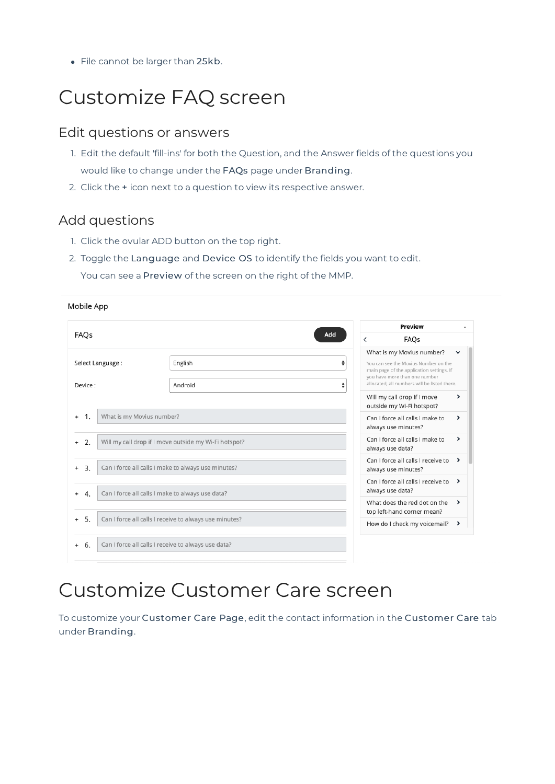• File cannot be larger than 25kb.

# Customize FAQ screen

#### Edit questions or answers

- 1. Edit the default 'fill-ins' for both the Question, and the Answer fields of the questions you would like to change under the FAQs page under Branding.
- 2. Click the + icon next to a question to view its respective answer.

#### Add questions

1. Click the ovular ADD button on the top right.

2. Toggle the Language and Device OS to identify the fields you want to edit. You can see a Preview of the screen on the right of the MMP.

|                                                                           | Preview                                                        |                                                                                                                                                                                                      |
|---------------------------------------------------------------------------|----------------------------------------------------------------|------------------------------------------------------------------------------------------------------------------------------------------------------------------------------------------------------|
| FAQs                                                                      | Add<br>FAQs                                                    |                                                                                                                                                                                                      |
| Select Language :                                                         | English                                                        | What is my Movius number?<br>÷<br>You can see the Movius Number on the<br>main page of the application settings. If<br>you have more than one number<br>allocated, all numbers will be listed there. |
| Device:                                                                   | Android                                                        | ÷<br>Will my call drop if I move<br>▸<br>outside my Wi-Fi hotspot?                                                                                                                                   |
| What is my Movius number?<br>-1.<br>$+$                                   |                                                                | Can I force all calls I make to<br>ゝ<br>always use minutes?                                                                                                                                          |
| 2.<br>Will my call drop if I move outside my Wi-Fi hotspot?<br>$+$        |                                                                | Can I force all calls I make to<br>▸<br>always use data?                                                                                                                                             |
| Can I force all calls I make to always use minutes?<br>3.<br>$^{+}$       | Can I force all calls I receive to<br>᠈<br>always use minutes? |                                                                                                                                                                                                      |
| Can I force all calls I make to always use data?<br>$\overline{4}$<br>$+$ | Can I force all calls I receive to<br>᠈<br>always use data?    |                                                                                                                                                                                                      |
|                                                                           |                                                                | What does the red dot on the<br>᠈<br>top left-hand corner mean?                                                                                                                                      |
| 5.<br>$+$                                                                 | Can I force all calls I receive to always use minutes?         | How do I check my voicemail?<br>᠈                                                                                                                                                                    |
| 6.<br>$+$                                                                 | Can I force all calls I receive to always use data?            |                                                                                                                                                                                                      |

## Customize Customer Care screen

To customize your Customer Care Page, edit the contact information in the Customer Care tab under Branding.